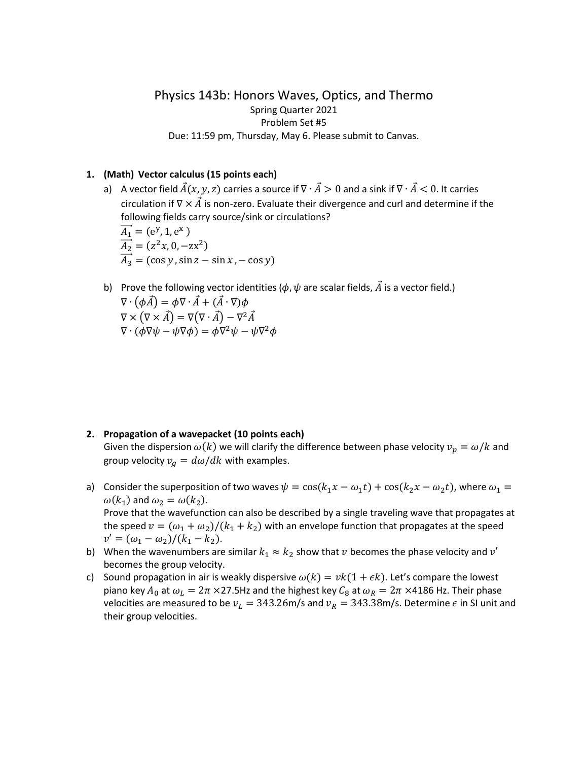## Physics 143b: Honors Waves, Optics, and Thermo Spring Quarter 2021 Problem Set #5 Due: 11:59 pm, Thursday, May 6. Please submit to Canvas.

## **1. (Math) Vector calculus (15 points each)**

- a) A vector field  $\vec{A}(x, y, z)$  carries a source if  $\nabla \cdot \vec{A} > 0$  and a sink if  $\nabla \cdot \vec{A} < 0$ . It carries circulation if  $\nabla \times \vec{A}$  is non-zero. Evaluate their divergence and curl and determine if the following fields carry source/sink or circulations?  $\overrightarrow{A_1}$  = (e<sup>y</sup>, 1, e<sup>x</sup>)  $A_2 = (z^2x, 0, -zx^2)$  $A_3 = (\cos y, \sin z - \sin x, -\cos y)$
- b) Prove the following vector identities ( $\phi$ ,  $\psi$  are scalar fields,  $\vec{A}$  is a vector field.)  $\nabla \cdot (\phi \vec{A}) = \phi \nabla \cdot \vec{A} + (\vec{A} \cdot \nabla) \phi$  $\nabla \times (\nabla \times \vec{A}) = \nabla (\nabla \cdot \vec{A}) - \nabla^2 \vec{A}$  $\nabla \cdot (\phi \nabla \psi - \psi \nabla \phi) = \phi \nabla^2 \psi - \psi \nabla^2 \phi$

## **2. Propagation of a wavepacket (10 points each)**

Given the dispersion  $\omega(k)$  we will clarify the difference between phase velocity  $v_p = \omega/k$  and group velocity  $v_g = d\omega/dk$  with examples.

- a) Consider the superposition of two waves  $\psi = \cos(k_1 x \omega_1 t) + \cos(k_2 x \omega_2 t)$ , where  $\omega_1 =$  $\omega(k_1)$  and  $\omega_2 = \omega(k_2)$ . Prove that the wavefunction can also be described by a single traveling wave that propagates at the speed  $v = (\omega_1 + \omega_2)/(k_1 + k_2)$  with an envelope function that propagates at the speed  $v' = (\omega_1 - \omega_2)/(k_1 - k_2).$
- b) When the wavenumbers are similar  $k_1 \approx k_2$  show that  $\nu$  becomes the phase velocity and  $\nu'$ becomes the group velocity.
- c) Sound propagation in air is weakly dispersive  $\omega(k) = vk(1 + \epsilon k)$ . Let's compare the lowest piano key  $A_0$  at  $\omega_L = 2\pi \times 27.5$ Hz and the highest key  $C_8$  at  $\omega_R = 2\pi \times 4186$  Hz. Their phase velocities are measured to be  $v_L = 343.26$  m/s and  $v_R = 343.38$  m/s. Determine  $\epsilon$  in SI unit and their group velocities.